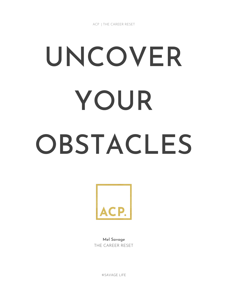# UNCOVER YOUR OBSTACLES



Mel Savage THE CAREER RESET

©SAVAGE LIFE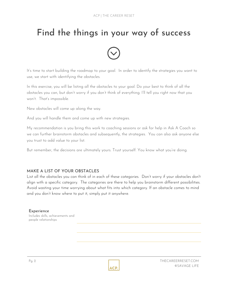# Find the things in your way of success



It's time to start building the roadmap to your goal. In order to identify the strategies you want to use, we start with identifying the obstacles.

In this exercise, you will be listing all the obstacles to your goal. Do your best to think of all the obstacles you can, but don't worry if you don't think of everything. I'll tell you right now that you won't. That's impossible.

New obstacles will come up along the way.

And you will handle them and come up with new strategies.

My recommendation is you bring this work to coaching sessions or ask for help in Ask A Coach so we can further brainstorm obstacles and subsequently, the strategies. You can also ask anyone else you trust to add value to your list.

But remember, the decisions are ultimately yours. Trust yourself. You know what you're doing.

# MAKE A LIST OF YOUR OBSTACLES

List all the obstacles you can think of in each of these categories. Don't worry if your obstacles don't align with a specific category. The categories are there to help you brainstorm different possibilities. Avoid wasting your time worrying about what fits into which category. If an obstacle comes to mind and you don't know where to put it, simply put it anywhere.

### Experience

Includes skills, achievements and people relationships

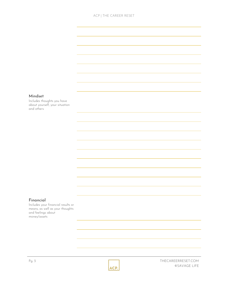### ACP | THE CAREER RESET

### Mindset

Includes thoughts you have about yourself, your situation and others

### Financial

Includes your financial results or means, as well as your thoughts and feelings about money/assets



Pg. 3 THECAREERRESET.COM ©SAVAGE LIFE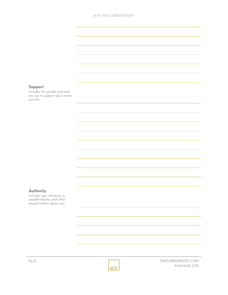### ACP | THE CAREER RESET

### Support

Includes the people and tools you use to support your career and life

### Authority

Includes your influence on people/industry and what people believe about you.